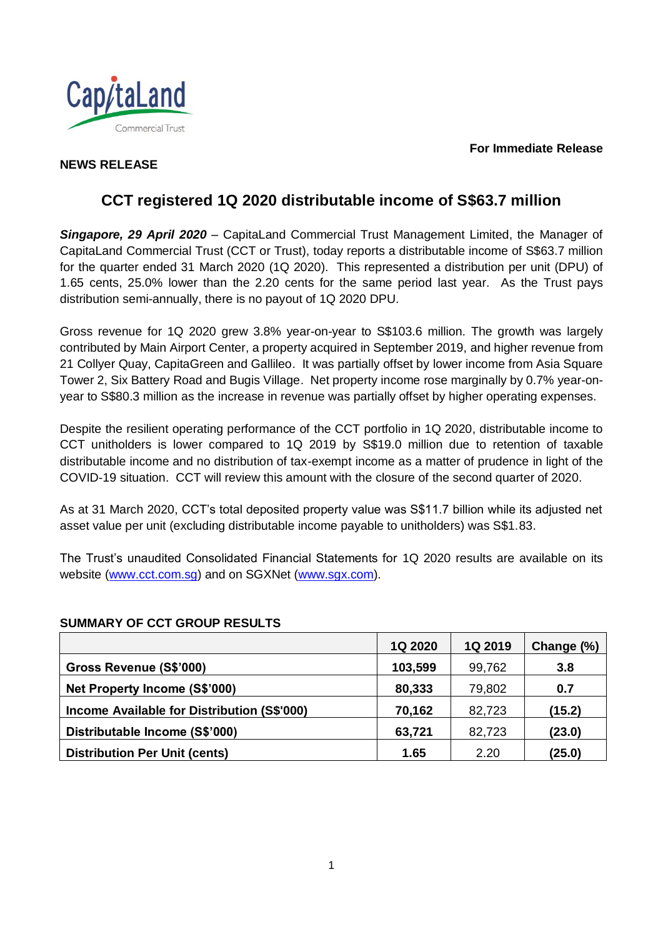#### **For Immediate Release**



## **NEWS RELEASE**

## **CCT registered 1Q 2020 distributable income of S\$63.7 million**

*Singapore, 29 April 2020* – CapitaLand Commercial Trust Management Limited, the Manager of CapitaLand Commercial Trust (CCT or Trust), today reports a distributable income of S\$63.7 million for the quarter ended 31 March 2020 (1Q 2020). This represented a distribution per unit (DPU) of 1.65 cents, 25.0% lower than the 2.20 cents for the same period last year. As the Trust pays distribution semi-annually, there is no payout of 1Q 2020 DPU.

Gross revenue for 1Q 2020 grew 3.8% year-on-year to S\$103.6 million. The growth was largely contributed by Main Airport Center, a property acquired in September 2019, and higher revenue from 21 Collyer Quay, CapitaGreen and Gallileo. It was partially offset by lower income from Asia Square Tower 2, Six Battery Road and Bugis Village. Net property income rose marginally by 0.7% year-onyear to S\$80.3 million as the increase in revenue was partially offset by higher operating expenses.

Despite the resilient operating performance of the CCT portfolio in 1Q 2020, distributable income to CCT unitholders is lower compared to 1Q 2019 by S\$19.0 million due to retention of taxable distributable income and no distribution of tax-exempt income as a matter of prudence in light of the COVID-19 situation. CCT will review this amount with the closure of the second quarter of 2020.

As at 31 March 2020, CCT's total deposited property value was S\$11.7 billion while its adjusted net asset value per unit (excluding distributable income payable to unitholders) was S\$1.83.

The Trust's unaudited Consolidated Financial Statements for 1Q 2020 results are available on its website [\(www.cct.com.sg\)](http://www.cct.com.sg/) and on SGXNet [\(www.sgx.com\)](http://www.sgx.com/).

# **1Q 2020 1Q 2019 Change (%) Gross Revenue (S\$'000) 103,599** 99,762 **3.8 Net Property Income (S\$'000) 80,333** 79,802 **1 0.7 Income Available for Distribution (S\$'000)**  $\qquad$  **70,162** 82,723 (15.2) **Distributable Income (S\$'000) 63,721** 82,723 (23.0) **Distribution Per Unit (cents) 1.65** 2.20 **(25.0)**

## **SUMMARY OF CCT GROUP RESULTS**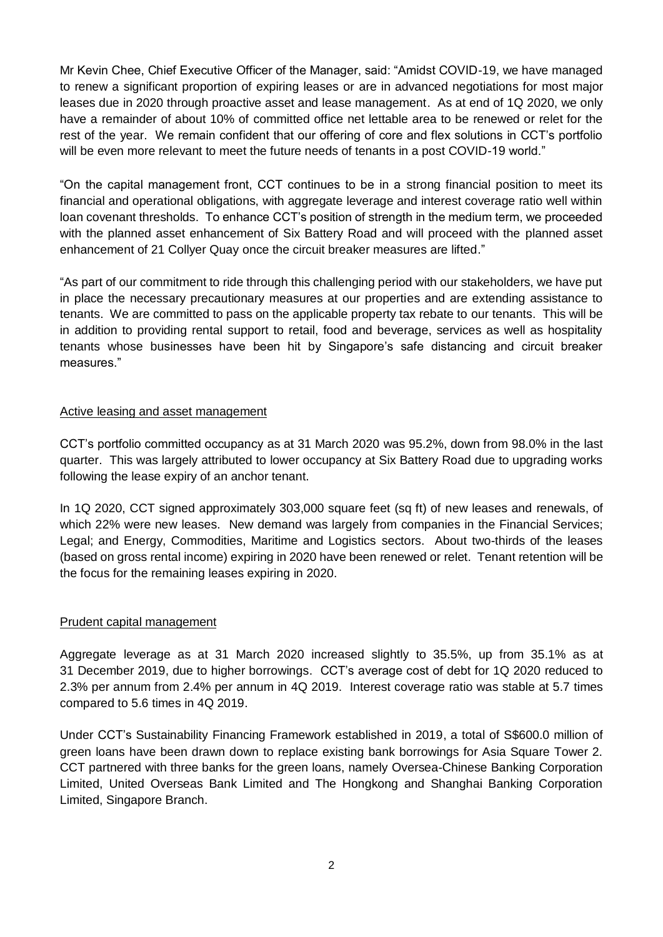Mr Kevin Chee, Chief Executive Officer of the Manager, said: "Amidst COVID-19, we have managed to renew a significant proportion of expiring leases or are in advanced negotiations for most major leases due in 2020 through proactive asset and lease management. As at end of 1Q 2020, we only have a remainder of about 10% of committed office net lettable area to be renewed or relet for the rest of the year. We remain confident that our offering of core and flex solutions in CCT's portfolio will be even more relevant to meet the future needs of tenants in a post COVID-19 world."

"On the capital management front, CCT continues to be in a strong financial position to meet its financial and operational obligations, with aggregate leverage and interest coverage ratio well within loan covenant thresholds. To enhance CCT's position of strength in the medium term, we proceeded with the planned asset enhancement of Six Battery Road and will proceed with the planned asset enhancement of 21 Collyer Quay once the circuit breaker measures are lifted."

"As part of our commitment to ride through this challenging period with our stakeholders, we have put in place the necessary precautionary measures at our properties and are extending assistance to tenants. We are committed to pass on the applicable property tax rebate to our tenants. This will be in addition to providing rental support to retail, food and beverage, services as well as hospitality tenants whose businesses have been hit by Singapore's safe distancing and circuit breaker measures."

#### Active leasing and asset management

CCT's portfolio committed occupancy as at 31 March 2020 was 95.2%, down from 98.0% in the last quarter. This was largely attributed to lower occupancy at Six Battery Road due to upgrading works following the lease expiry of an anchor tenant.

In 1Q 2020, CCT signed approximately 303,000 square feet (sq ft) of new leases and renewals, of which 22% were new leases. New demand was largely from companies in the Financial Services; Legal; and Energy, Commodities, Maritime and Logistics sectors. About two-thirds of the leases (based on gross rental income) expiring in 2020 have been renewed or relet. Tenant retention will be the focus for the remaining leases expiring in 2020.

#### Prudent capital management

Aggregate leverage as at 31 March 2020 increased slightly to 35.5%, up from 35.1% as at 31 December 2019, due to higher borrowings. CCT's average cost of debt for 1Q 2020 reduced to 2.3% per annum from 2.4% per annum in 4Q 2019. Interest coverage ratio was stable at 5.7 times compared to 5.6 times in 4Q 2019.

Under CCT's Sustainability Financing Framework established in 2019, a total of S\$600.0 million of green loans have been drawn down to replace existing bank borrowings for Asia Square Tower 2. CCT partnered with three banks for the green loans, namely Oversea-Chinese Banking Corporation Limited, United Overseas Bank Limited and The Hongkong and Shanghai Banking Corporation Limited, Singapore Branch.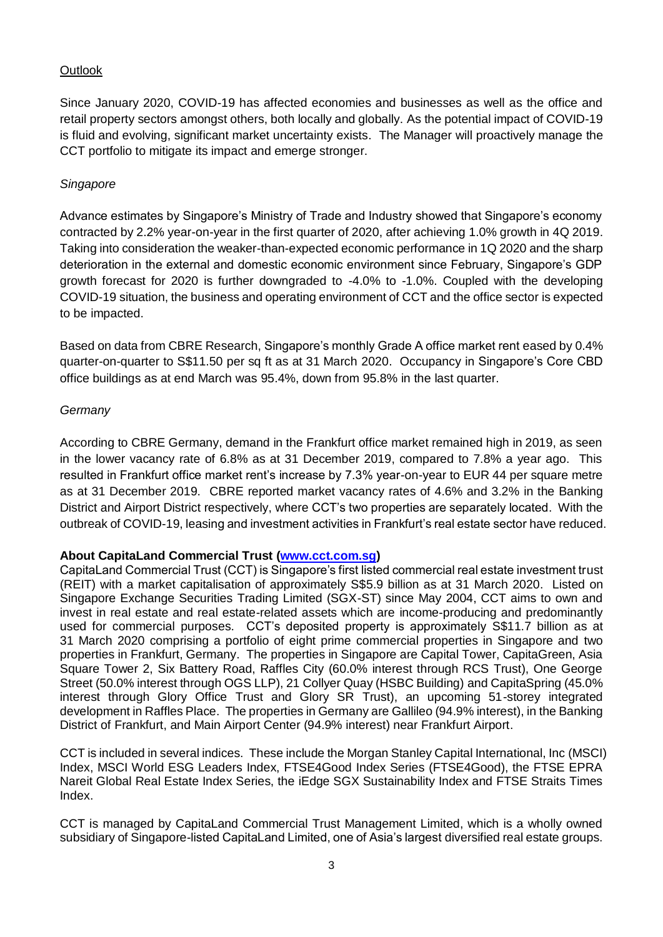## **Outlook**

Since January 2020, COVID-19 has affected economies and businesses as well as the office and retail property sectors amongst others, both locally and globally. As the potential impact of COVID-19 is fluid and evolving, significant market uncertainty exists. The Manager will proactively manage the CCT portfolio to mitigate its impact and emerge stronger.

## *Singapore*

Advance estimates by Singapore's Ministry of Trade and Industry showed that Singapore's economy contracted by 2.2% year-on-year in the first quarter of 2020, after achieving 1.0% growth in 4Q 2019. Taking into consideration the weaker-than-expected economic performance in 1Q 2020 and the sharp deterioration in the external and domestic economic environment since February, Singapore's GDP growth forecast for 2020 is further downgraded to -4.0% to -1.0%. Coupled with the developing COVID-19 situation, the business and operating environment of CCT and the office sector is expected to be impacted.

Based on data from CBRE Research, Singapore's monthly Grade A office market rent eased by 0.4% quarter-on-quarter to S\$11.50 per sq ft as at 31 March 2020. Occupancy in Singapore's Core CBD office buildings as at end March was 95.4%, down from 95.8% in the last quarter.

### *Germany*

According to CBRE Germany, demand in the Frankfurt office market remained high in 2019, as seen in the lower vacancy rate of 6.8% as at 31 December 2019, compared to 7.8% a year ago. This resulted in Frankfurt office market rent's increase by 7.3% year-on-year to EUR 44 per square metre as at 31 December 2019. CBRE reported market vacancy rates of 4.6% and 3.2% in the Banking District and Airport District respectively, where CCT's two properties are separately located. With the outbreak of COVID-19, leasing and investment activities in Frankfurt's real estate sector have reduced.

## **About CapitaLand Commercial Trust [\(www.cct.com.sg\)](file:///D:/Users/homeipeng/AppData/Local/Microsoft/Windows/Temporary%20Internet%20Files/Content.Outlook/P5NL80E6/www.cct.com.sg)**

CapitaLand Commercial Trust (CCT) is Singapore's first listed commercial real estate investment trust (REIT) with a market capitalisation of approximately S\$5.9 billion as at 31 March 2020. Listed on Singapore Exchange Securities Trading Limited (SGX-ST) since May 2004, CCT aims to own and invest in real estate and real estate-related assets which are income-producing and predominantly used for commercial purposes. CCT's deposited property is approximately S\$11.7 billion as at 31 March 2020 comprising a portfolio of eight prime commercial properties in Singapore and two properties in Frankfurt, Germany. The properties in Singapore are Capital Tower, CapitaGreen, Asia Square Tower 2, Six Battery Road, Raffles City (60.0% interest through RCS Trust), One George Street (50.0% interest through OGS LLP), 21 Collyer Quay (HSBC Building) and CapitaSpring (45.0% interest through Glory Office Trust and Glory SR Trust), an upcoming 51-storey integrated development in Raffles Place. The properties in Germany are Gallileo (94.9% interest), in the Banking District of Frankfurt, and Main Airport Center (94.9% interest) near Frankfurt Airport.

CCT is included in several indices. These include the Morgan Stanley Capital International, Inc (MSCI) Index, MSCI World ESG Leaders Index, FTSE4Good Index Series (FTSE4Good), the FTSE EPRA Nareit Global Real Estate Index Series, the iEdge SGX Sustainability Index and FTSE Straits Times Index.

CCT is managed by CapitaLand Commercial Trust Management Limited, which is a wholly owned subsidiary of Singapore-listed CapitaLand Limited, one of Asia's largest diversified real estate groups.